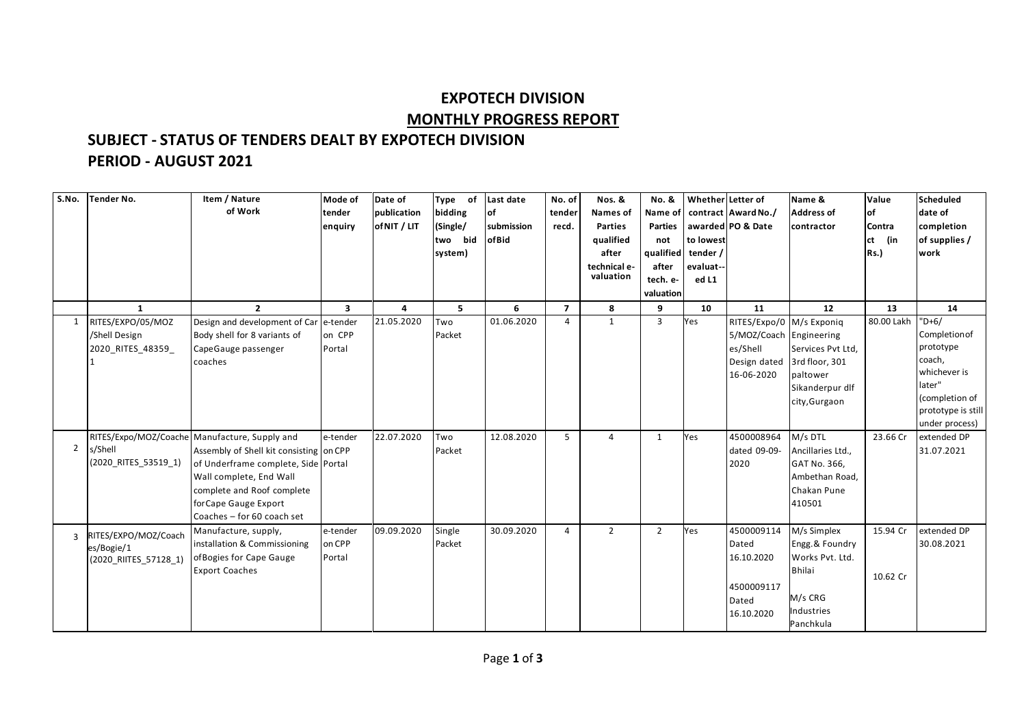## **EXPOTECH DIVISION MONTHLY PROGRESS REPORT**

## **SUBJECT - STATUS OF TENDERS DEALT BY EXPOTECH DIVISION PERIOD - AUGUST 2021**

| S.No.          | <b>Tender No.</b>     | Item / Nature                                 | Mode of  | Date of      | Type of    | Last date              | No. of         | Nos. &          | No. &              | Whether Letter of |                          | Name &            | Value      | Scheduled              |
|----------------|-----------------------|-----------------------------------------------|----------|--------------|------------|------------------------|----------------|-----------------|--------------------|-------------------|--------------------------|-------------------|------------|------------------------|
|                |                       | of Work                                       | tender   | publication  | bidding    | $\overline{\text{of}}$ | tender         | <b>Names of</b> | Name of            |                   | contract Award No./      | <b>Address of</b> | lof        | date of                |
|                |                       |                                               | enquiry  | of NIT / LIT | (Single/   | submission             | recd.          | <b>Parties</b>  | <b>Parties</b>     |                   | awarded PO & Date        | contractor        | Contra     | completion             |
|                |                       |                                               |          |              | bid<br>two | ofBid                  |                | qualified       | not                | to lowest         |                          |                   | (in<br>lct | of supplies /          |
|                |                       |                                               |          |              | system)    |                        |                | after           | qualified tender / |                   |                          |                   | Rs.        | work                   |
|                |                       |                                               |          |              |            |                        |                | technical e-    | after              | evaluat--         |                          |                   |            |                        |
|                |                       |                                               |          |              |            |                        |                | valuation       | tech. e-           | ed L1             |                          |                   |            |                        |
|                |                       |                                               |          |              |            |                        |                |                 | valuation          |                   |                          |                   |            |                        |
|                | $\mathbf{1}$          | $\overline{2}$                                | 3        | 4            | 5          | 6                      | $\overline{ }$ | 8               | 9                  | 10                | 11                       | 12                | 13         | 14                     |
| 1              | RITES/EXPO/05/MOZ     | Design and development of Car e-tender        |          | 21.05.2020   | Two        | 01.06.2020             | $\overline{4}$ | $\mathbf{1}$    | 3                  | Yes               | RITES/Expo/0 M/s Exponiq |                   | 80.00 Lakh | $"D+6/$                |
|                | /Shell Design         | Body shell for 8 variants of                  | on CPP   |              | Packet     |                        |                |                 |                    |                   | 5/MOZ/Coach Engineering  |                   |            | Completion of          |
|                | 2020_RITES_48359_     | CapeGauge passenger                           | Portal   |              |            |                        |                |                 |                    |                   | es/Shell                 | Services Pvt Ltd, |            | prototype              |
|                |                       | coaches                                       |          |              |            |                        |                |                 |                    |                   | Design dated             | 3rd floor, 301    |            | coach,                 |
|                |                       |                                               |          |              |            |                        |                |                 |                    |                   | 16-06-2020               | paltower          |            | whichever is<br>later" |
|                |                       |                                               |          |              |            |                        |                |                 |                    |                   |                          | Sikanderpur dlf   |            | (completion of         |
|                |                       |                                               |          |              |            |                        |                |                 |                    |                   |                          | city, Gurgaon     |            | prototype is still     |
|                |                       |                                               |          |              |            |                        |                |                 |                    |                   |                          |                   |            | under process)         |
|                |                       | RITES/Expo/MOZ/Coache Manufacture, Supply and | e-tender | 22.07.2020   | Two        | 12.08.2020             | 5              | $\overline{4}$  | 1                  | Yes               | 4500008964               | M/s DTL           | 23.66 Cr   | extended DP            |
| 2              | s/Shell               | Assembly of Shell kit consisting on CPP       |          |              | Packet     |                        |                |                 |                    |                   | dated 09-09-             | Ancillaries Ltd., |            | 31.07.2021             |
|                | (2020 RITES 53519 1)  | of Underframe complete, Side Portal           |          |              |            |                        |                |                 |                    |                   | 2020                     | GAT No. 366,      |            |                        |
|                |                       | Wall complete, End Wall                       |          |              |            |                        |                |                 |                    |                   |                          | Ambethan Road,    |            |                        |
|                |                       | complete and Roof complete                    |          |              |            |                        |                |                 |                    |                   |                          | Chakan Pune       |            |                        |
|                |                       | for Cape Gauge Export                         |          |              |            |                        |                |                 |                    |                   |                          | 410501            |            |                        |
|                |                       | Coaches - for 60 coach set                    |          |              |            |                        |                |                 |                    |                   |                          |                   |            |                        |
| $\overline{3}$ | RITES/EXPO/MOZ/Coach  | Manufacture, supply,                          | e-tender | 09.09.2020   | Single     | 30.09.2020             | $\overline{4}$ | $\overline{2}$  | $\overline{2}$     | Yes               | 4500009114               | M/s Simplex       | 15.94 Cr   | extended DP            |
|                | es/Bogie/1            | installation & Commissioning                  | on CPP   |              | Packet     |                        |                |                 |                    |                   | Dated                    | Engg. & Foundry   |            | 30.08.2021             |
|                | (2020 RIITES 57128 1) | of Bogies for Cape Gauge                      | Portal   |              |            |                        |                |                 |                    |                   | 16.10.2020               | Works Pvt. Ltd.   |            |                        |
|                |                       | <b>Export Coaches</b>                         |          |              |            |                        |                |                 |                    |                   |                          | <b>Bhilai</b>     | 10.62 Cr   |                        |
|                |                       |                                               |          |              |            |                        |                |                 |                    |                   | 4500009117               |                   |            |                        |
|                |                       |                                               |          |              |            |                        |                |                 |                    |                   | Dated                    | M/s CRG           |            |                        |
|                |                       |                                               |          |              |            |                        |                |                 |                    |                   | 16.10.2020               | Industries        |            |                        |
|                |                       |                                               |          |              |            |                        |                |                 |                    |                   |                          | Panchkula         |            |                        |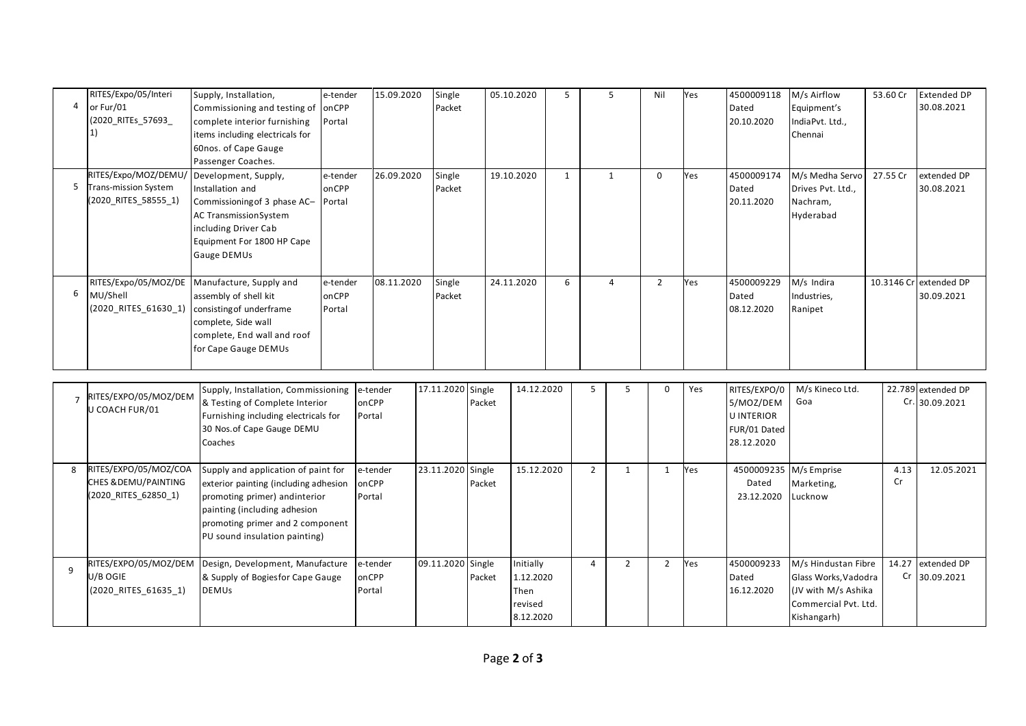| $\overline{4}$ | RITES/Expo/05/Interi<br>or Fur/01<br>(2020_RITEs_57693_                                   | Supply, Installation,<br>Commissioning and testing of<br>complete interior furnishing<br>items including electricals for<br>60nos. of Cape Gauge<br>Passenger Coaches.                                             | e-tender<br>onCPP<br>Portal | 15.09.2020                  | Single<br>Packet  |                  | 05.10.2020                                | 5            |                | 5              | Nil            | Yes | 4500009118<br>Dated<br>20.10.2020                                            | M/s Airflow<br>Equipment's<br>IndiaPvt. Ltd.,<br>Chennai                                   | 53.60 Cr   | <b>Extended DP</b><br>30.08.2021     |
|----------------|-------------------------------------------------------------------------------------------|--------------------------------------------------------------------------------------------------------------------------------------------------------------------------------------------------------------------|-----------------------------|-----------------------------|-------------------|------------------|-------------------------------------------|--------------|----------------|----------------|----------------|-----|------------------------------------------------------------------------------|--------------------------------------------------------------------------------------------|------------|--------------------------------------|
| 5              | RITES/Expo/MOZ/DEMU/ Development, Supply,<br>Trans-mission System<br>(2020_RITES_58555_1) | Installation and<br>Commissioning of 3 phase AC-<br>AC TransmissionSystem<br>including Driver Cab<br>Equipment For 1800 HP Cape<br>Gauge DEMUs                                                                     | e-tender<br>onCPP<br>Portal | 26.09.2020                  | Single<br>Packet  |                  | 19.10.2020                                | $\mathbf{1}$ |                | $\mathbf{1}$   | $\Omega$       | Yes | 4500009174<br>Dated<br>20.11.2020                                            | M/s Medha Servo<br>Drives Pvt. Ltd.,<br>Nachram,<br>Hyderabad                              | 27.55 Cr   | extended DP<br>30.08.2021            |
| 6              | RITES/Expo/05/MOZ/DE<br>MU/Shell<br>(2020_RITES_61630_1)                                  | Manufacture, Supply and<br>assembly of shell kit<br>consisting of underframe<br>complete, Side wall<br>complete, End wall and roof<br>for Cape Gauge DEMUs                                                         | e-tender<br>onCPP<br>Portal | 08.11.2020                  | Single<br>Packet  |                  | 24.11.2020                                | 6            |                | 4              | $\overline{2}$ | Yes | 4500009229<br>Dated<br>08.12.2020                                            | M/s Indira<br>Industries,<br>Ranipet                                                       |            | 10.3146 Cr extended DP<br>30.09.2021 |
|                | RITES/EXPO/05/MOZ/DEM<br>U COACH FUR/01                                                   | Supply, Installation, Commissioning<br>& Testing of Complete Interior<br>Furnishing including electricals for<br>30 Nos. of Cape Gauge DEMU<br>Coaches                                                             |                             | e-tender<br>onCPP<br>Portal | 17.11.2020        | Single<br>Packet | 14.12.2020                                |              | 5              | 5              | $\mathbf 0$    | Yes | RITES/EXPO/0<br>5/MOZ/DEM<br><b>U INTERIOR</b><br>FUR/01 Dated<br>28.12.2020 | M/s Kineco Ltd.<br>Goa                                                                     |            | 22.789 extended DP<br>Cr. 30.09.2021 |
| 8              | RITES/EXPO/05/MOZ/COA<br>CHES & DEMU/PAINTING<br>(2020_RITES_62850_1)                     | Supply and application of paint for<br>exterior painting (including adhesion<br>promoting primer) andinterior<br>painting (including adhesion<br>promoting primer and 2 component<br>PU sound insulation painting) | onCPP<br>Portal             | e-tender                    | 23.11.2020 Single | Packet           | 15.12.2020                                |              | $\overline{2}$ | $\mathbf{1}$   | $\mathbf{1}$   | Yes | 4500009235 M/s Emprise<br>Dated<br>23.12.2020                                | Marketing,<br>Lucknow                                                                      | 4.13<br>Cr | 12.05.2021                           |
| 9              | RITES/EXPO/05/MOZ/DEM<br>U/B OGIE<br>(2020_RITES_61635_1)                                 | Design, Development, Manufacture<br>& Supply of Bogiesfor Cape Gauge<br><b>DEMUs</b>                                                                                                                               |                             | e-tender<br>onCPP<br>Portal | 09.11.2020 Single | Packet           | Initially<br>1.12.2020<br>Then<br>revised |              | $\overline{4}$ | $\overline{2}$ | $\overline{2}$ | Yes | 4500009233<br>Dated<br>16.12.2020                                            | M/s Hindustan Fibre<br>Glass Works, Vadodra<br>(JV with M/s Ashika<br>Commercial Pvt. Ltd. | 14.27      | extended DP<br>Cr 30.09.2021         |

8.12.2020

Commercial Pvt. Ltd. Kishangarh)